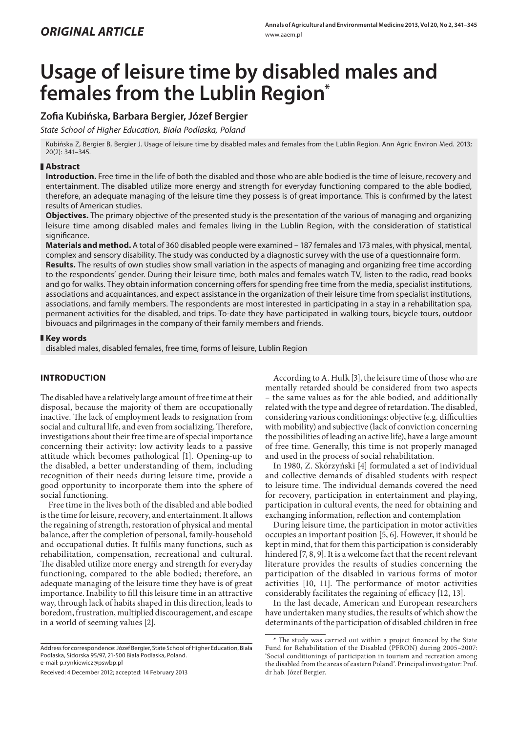# **Usage of leisure time by disabled males and females from the Lublin Region\***

# **Zofia Kubińska, Barbara Bergier, Józef Bergier**

*State School of Higher Education, Biała Podlaska, Poland*

Kubińska Z, Bergier B, Bergier J. Usage of leisure time by disabled males and females from the Lublin Region. Ann Agric Environ Med. 2013; 20(2): 341–345.

### **Abstract**

**Introduction.** Free time in the life of both the disabled and those who are able bodied is the time of leisure, recovery and entertainment. The disabled utilize more energy and strength for everyday functioning compared to the able bodied, therefore, an adequate managing of the leisure time they possess is of great importance. This is confirmed by the latest results of American studies.

**Objectives.** The primary objective of the presented study is the presentation of the various of managing and organizing leisure time among disabled males and females living in the Lublin Region, with the consideration of statistical significance.

**Materials and method.** A total of 360 disabled people were examined – 187 females and 173 males, with physical, mental, complex and sensory disability. The study was conducted by a diagnostic survey with the use of a questionnaire form.

**Results.** The results of own studies show small variation in the aspects of managing and organizing free time according to the respondents' gender. During their leisure time, both males and females watch TV, listen to the radio, read books and go for walks. They obtain information concerning offers for spending free time from the media, specialist institutions, associations and acquaintances, and expect assistance in the organization of their leisure time from specialist institutions, associations, and family members. The respondents are most interested in participating in a stay in a rehabilitation spa, permanent activities for the disabled, and trips. To-date they have participated in walking tours, bicycle tours, outdoor bivouacs and pilgrimages in the company of their family members and friends.

#### **Key words**

disabled males, disabled females, free time, forms of leisure, Lublin Region

## **INTRODUCTION**

The disabled have a relatively large amount of free time at their disposal, because the majority of them are occupationally inactive. The lack of employment leads to resignation from social and cultural life, and even from socializing. Therefore, investigations about their free time are of special importance concerning their activity: low activity leads to a passive attitude which becomes pathological [1]. Opening-up to the disabled, a better understanding of them, including recognition of their needs during leisure time, provide a good opportunity to incorporate them into the sphere of social functioning.

Free time in the lives both of the disabled and able bodied is the time for leisure, recovery, and entertainment. It allows the regaining of strength, restoration of physical and mental balance, after the completion of personal, family-household and occupational duties. It fulfils many functions, such as rehabilitation, compensation, recreational and cultural. The disabled utilize more energy and strength for everyday functioning, compared to the able bodied; therefore, an adequate managing of the leisure time they have is of great importance. Inability to fill this leisure time in an attractive way, through lack of habits shaped in this direction, leads to boredom, frustration, multiplied discouragement, and escape in a world of seeming values [2].

According to A. Hulk [3], the leisure time of those who are mentally retarded should be considered from two aspects – the same values as for the able bodied, and additionally related with the type and degree of retardation. The disabled, considering various conditionings: objective (e.g. difficulties with mobility) and subjective (lack of conviction concerning the possibilities of leading an active life), have a large amount of free time. Generally, this time is not properly managed and used in the process of social rehabilitation.

In 1980, Z. Skórzyński [4] formulated a set of individual and collective demands of disabled students with respect to leisure time. The individual demands covered the need for recovery, participation in entertainment and playing, participation in cultural events, the need for obtaining and exchanging information, reflection and contemplation

During leisure time, the participation in motor activities occupies an important position [5, 6]. However, it should be kept in mind, that for them this participation is considerably hindered [7, 8, 9]. It is a welcome fact that the recent relevant literature provides the results of studies concerning the participation of the disabled in various forms of motor activities [10, 11]. The performance of motor activities considerably facilitates the regaining of efficacy [12, 13].

In the last decade, American and European researchers have undertaken many studies, the results of which show the determinants of the participation of disabled children in free

Address for correspondence: Józef Bergier, State School of Higher Education, Biała Podlaska, Sidorska 95/97, 21-500 Biała Podlaska, Poland. e-mail: p.rynkiewicz@pswbp.pl

Received: 4 December 2012; accepted: 14 February 2013

<sup>\*</sup> The study was carried out within a project financed by the State Fund for Rehabilitation of the Disabled (PFRON) during 2005–2007: 'Social conditionings of participation in tourism and recreation among the disabled from the areas of eastern Poland'. Principal investigator: Prof. dr hab. Józef Bergier.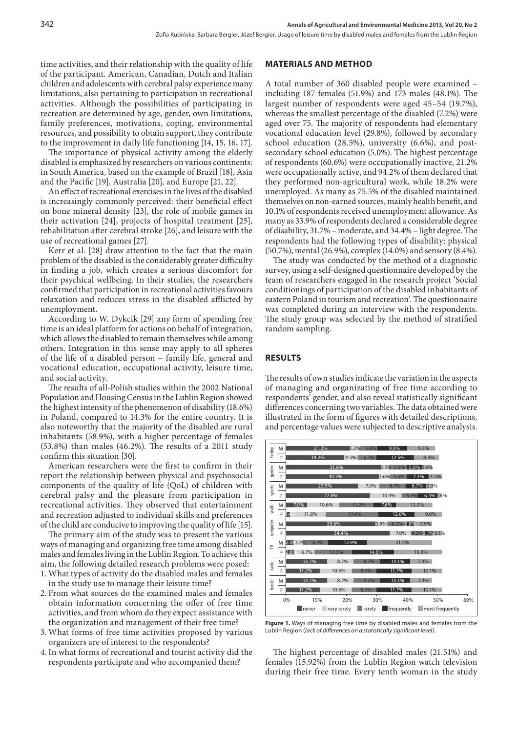time activities, and their relationship with the quality of life of the participant. American, Canadian, Dutch and Italian children and adolescents with cerebral palsy experience many limitations, also pertaining to participation in recreational activities. Although the possibilities of participating in recreation are determined by age, gender, own limitations, family preferences, motivations, coping, environmental resources, and possibility to obtain support, they contribute to the improvement in daily life functioning [14, 15, 16, 17].

The importance of physical activity among the elderly disabled is emphasized by researchers on various continents: in South America, based on the example of Brazil [18], Asia and the Pacific [19], Australia [20], and Europe [21, 22].

An effect of recreational exercises in the lives of the disabled is increasingly commonly perceived: their beneficial effect on bone mineral density [23], the role of mobile games in their activation [24], projects of hospital treatment [25], rehabilitation after cerebral stroke [26], and leisure with the use of recreational games [27].

Kerr et al. [28] draw attention to the fact that the main problem of the disabled is the considerably greater difficulty in finding a job, which creates a serious discomfort for their psychical wellbeing. In their studies, the researchers confirmed that participation in recreational activities favours relaxation and reduces stress in the disabled afflicted by unemployment.

According to W. Dykcik [29] any form of spending free time is an ideal platform for actions on behalf of integration, which allows the disabled to remain themselves while among others. Integration in this sense may apply to all spheres of the life of a disabled person – family life, general and vocational education, occupational activity, leisure time, and social activity.

The results of all-Polish studies within the 2002 National Population and Housing Census in the Lublin Region showed the highest intensity of the phenomenon of disability (18.6%) in Poland, compared to 14.3% for the entire country. It is also noteworthy that the majority of the disabled are rural inhabitants (58.9%), with a higher percentage of females (53.8%) than males (46.2%). The results of a 2011 study confirm this situation [30].

American researchers were the first to confirm in their report the relationship between physical and psychosocial components of the quality of life (QoL) of children with cerebral palsy and the pleasure from participation in recreational activities. They observed that entertainment and recreation adjusted to individual skills and preferences of the child are conducive to improving the quality of life [15].

The primary aim of the study was to present the various ways of managing and organizing free time among disabled males and females living in the Lublin Region. To achieve this aim, the following detailed research problems were posed:

- 1. What types of activity do the disabled males and females in the study use to manage their leisure time?
- 2. From what sources do the examined males and females obtain information concerning the offer of free time activities, and from whom do they expect assistance with the organization and management of their free time?
- 3. What forms of free time activities proposed by various organizers are of interest to the respondents?
- 4. In what forms of recreational and tourist activity did the respondents participate and who accompanied them?

#### **MATERIALS AND METHOD**

A total number of 360 disabled people were examined – including 187 females (51.9%) and 173 males (48.1%). The largest number of respondents were aged 45–54 (19.7%), whereas the smallest percentage of the disabled (7.2%) were aged over 75. The majority of respondents had elementary vocational education level (29.8%), followed by secondary school education (28.5%), university (6.6%), and postsecondary school education (5.0%). The highest percentage of respondents (60.6%) were occupationally inactive, 21.2% were occupationally active, and 94.2% of them declared that they performed non-agricultural work, while 18.2% were unemployed. As many as 75.5% of the disabled maintained themselves on non-earned sources, mainly health benefit, and 10.1% of respondents received unemployment allowance. As many as 33.9% of respondents declared a considerable degree of disability, 31.7% – moderate, and 34.4% – light degree. The respondents had the following types of disability: physical (50.7%), mental (26.9%), complex (14.0%) and sensory (8.4%).

The study was conducted by the method of a diagnostic survey, using a self-designed questionnaire developed by the team of researchers engaged in the research project 'Social conditionings of participation of the disabled inhabitants of eastern Poland in tourism and recreation'. The questionnaire was completed during an interview with the respondents. The study group was selected by the method of stratified random sampling.

#### **RESULTS**

The results of own studies indicate the variation in the aspects of managing and organizating of free time according to respondents' gender, and also reveal statistically significant differences concerning two variables. The data obtained were illustrated in the form of figures with detailed descriptions, and percentage values were subjected to descriptive analysis.



**Figure 1.** Ways of managing free time by disabled males and females from the Lublin Region (*lack of differences on a statistically significant level*).

The highest percentage of disabled males (21.51%) and females (15.92%) from the Lublin Region watch television during their free time. Every tenth woman in the study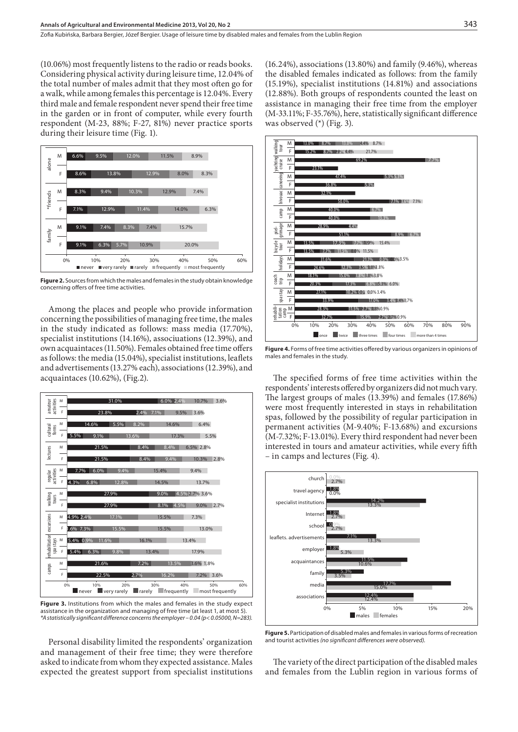(10.06%) most frequently listens to the radio or reads books. Considering physical activity during leisure time, 12.04% of the total number of males admit that they most often go for a walk, while among females this percentage is 12.04%. Every third male and female respondent never spend their free time in the garden or in front of computer, while every fourth respondent (M-23, 88%; F-27, 81%) never practice sports during their leisure time (Fig. 1).



**Figure 2.** Sources from which the males and females in the study obtain knowledge concerning offers of free time activities.

Among the places and people who provide information concerning the possibilities of managing free time, the males in the study indicated as follows: mass media (17.70%), specialist institutions (14.16%), associuations (12.39%), and own acquaintaces (11.50%). Females obtained free time offers as follows: the media (15.04%), specialist institutions, leaflets and advertisements (13.27% each), associations (12.39%), and acquaintaces (10.62%), (Fig.2).



**Figure 3.** Institutions from which the males and females in the study expect assistance in the organization and managing of free time (at least 1, at most 5). *\*A statistically significant difference concerns the employer – 0.04 (p< 0.05000, N=283).*

Personal disability limited the respondents' organization and management of their free time; they were therefore asked to indicate from whom they expected assistance. Males expected the greatest support from specialist institutions (16.24%), associations (13.80%) and family (9.46%), whereas the disabled females indicated as follows: from the family (15.19%), specialist institutions (14.81%) and associations (12.88%). Both groups of respondents counted the least on assistance in managing their free time from the employer (M-33.11%; F-35.76%), here, statistically significant difference was observed (\*) (Fig. 3).



**Figure 4.** Forms of free time activities offered by various organizers in opinions of males and females in the study.

The specified forms of free time activities within the respondents' interests offered by organizers did not much vary. The largest groups of males (13.39%) and females (17.86%) were most frequently interested in stays in rehabilitation spas, followed by the possibility of regular participation in permanent activities (M-9.40%; F-13.68%) and excursions (M-7.32%; F-13.01%). Every third respondent had never been interested in tours and amateur activities, while every fifth – in camps and lectures (Fig. 4).



**Figure 5.** Participation of disabled males and females in various forms of recreation and tourist activities *(no significant differences were observed).*

The variety of the direct participation of the disabled males and females from the Lublin region in various forms of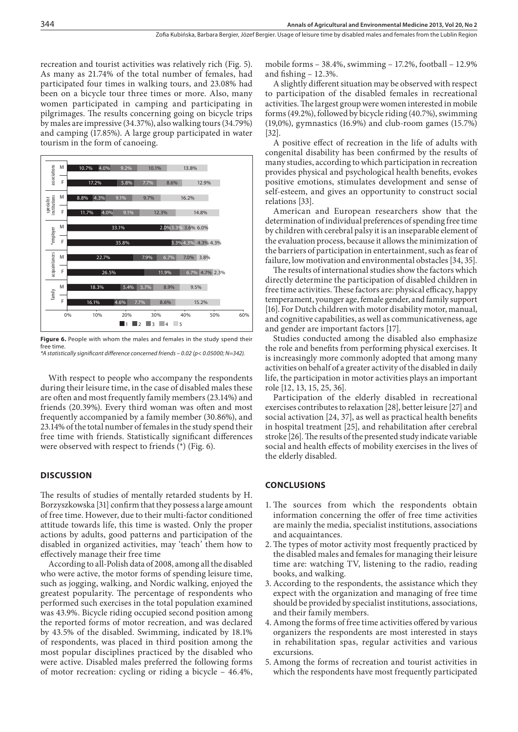recreation and tourist activities was relatively rich (Fig. 5). As many as 21.74% of the total number of females, had participated four times in walking tours, and 23.08% had been on a bicycle tour three times or more. Also, many women participated in camping and participating in pilgrimages. The results concerning going on bicycle trips by males are impressive (34.37%), also walking tours (34.79%) and camping (17.85%). A large group participated in water tourism in the form of canoeing.



**Figure 6.** People with whom the males and females in the study spend their free time. *\*A statistically significant difference concerned friends – 0.02 (p< 0.05000; N=342).*

With respect to people who accompany the respondents during their leisure time, in the case of disabled males these are often and most frequently family members (23.14%) and friends (20.39%). Every third woman was often and most frequently accompanied by a family member (30.86%), and 23.14% of the total number of females in the study spend their free time with friends. Statistically significant differences were observed with respect to friends  $(*)$  (Fig. 6).

#### **DISCUSSION**

The results of studies of mentally retarded students by H. Borzyszkowska [31] confirm that they possess a large amount of free time. However, due to their multi-factor conditioned attitude towards life, this time is wasted. Only the proper actions by adults, good patterns and participation of the disabled in organized activities, may 'teach' them how to effectively manage their free time

According to all-Polish data of 2008, among all the disabled who were active, the motor forms of spending leisure time, such as jogging, walking, and Nordic walking, enjoyed the greatest popularity. The percentage of respondents who performed such exercises in the total population examined was 43.9%. Bicycle riding occupied second position among the reported forms of motor recreation, and was declared by 43.5% of the disabled. Swimming, indicated by 18.1% of respondents, was placed in third position among the most popular disciplines practiced by the disabled who were active. Disabled males preferred the following forms of motor recreation: cycling or riding a bicycle – 46.4%,

mobile forms – 38.4%, swimming – 17.2%, football – 12.9% and fishing – 12.3%.

A slightly different situation may be observed with respect to participation of the disabled females in recreational activities. The largest group were women interested in mobile forms (49.2%), followed by bicycle riding (40.7%), swimming (19,0%), gymnastics (16.9%) and club-room games (15.7%) [32].

A positive effect of recreation in the life of adults with congenital disability has been confirmed by the results of many studies, according to which participation in recreation provides physical and psychological health benefits, evokes positive emotions, stimulates development and sense of self-esteem, and gives an opportunity to construct social relations [33].

American and European researchers show that the determination of individual preferences of spending free time by children with cerebral palsy it is an inseparable element of the evaluation process, because it allows the minimization of the barriers of participation in entertainment, such as fear of failure, low motivation and environmental obstacles [34, 35].

The results of international studies show the factors which directly determine the participation of disabled children in free time activities. These factors are: physical efficacy, happy temperament, younger age, female gender, and family support [16]. For Dutch children with motor disability motor, manual, and cognitive capabilities, as well as communicativeness, age and gender are important factors [17].

Studies conducted among the disabled also emphasize the role and benefits from performing physical exercises. It is increasingly more commonly adopted that among many activities on behalf of a greater activity of the disabled in daily life, the participation in motor activities plays an important role [12, 13, 15, 25, 36].

Participation of the elderly disabled in recreational exercises contributes to relaxation [28], better leisure [27] and social activation [24, 37], as well as practical health benefits in hospital treatment [25], and rehabilitation after cerebral stroke [26]. The results of the presented study indicate variable social and health effects of mobility exercises in the lives of the elderly disabled.

#### **CONCLUSIONS**

- 1. The sources from which the respondents obtain information concerning the offer of free time activities are mainly the media, specialist institutions, associations and acquaintances.
- 2.The types of motor activity most frequently practiced by the disabled males and females for managing their leisure time are: watching TV, listening to the radio, reading books, and walking.
- 3. According to the respondents, the assistance which they expect with the organization and managing of free time should be provided by specialist institutions, associations, and their family members.
- 4. Among the forms of free time activities offered by various organizers the respondents are most interested in stays in rehabilitation spas, regular activities and various excursions.
- 5. Among the forms of recreation and tourist activities in which the respondents have most frequently participated